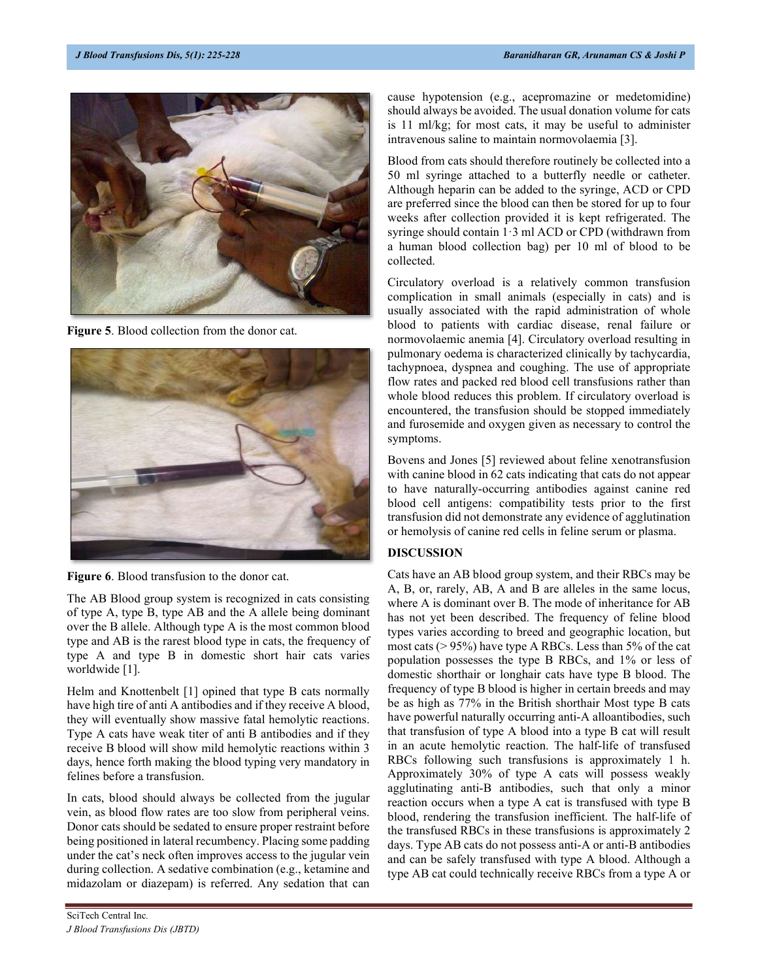

Figure 5. Blood collection from the donor cat.



Figure 6. Blood transfusion to the donor cat.

The AB Blood group system is recognized in cats consisting of type A, type B, type AB and the A allele being dominant over the B allele. Although type A is the most common blood type and AB is the rarest blood type in cats, the frequency of type A and type B in domestic short hair cats varies worldwide [1].

Helm and Knottenbelt [1] opined that type B cats normally have high tire of anti A antibodies and if they receive A blood, they will eventually show massive fatal hemolytic reactions. Type A cats have weak titer of anti B antibodies and if they receive B blood will show mild hemolytic reactions within 3 days, hence forth making the blood typing very mandatory in felines before a transfusion.

In cats, blood should always be collected from the jugular vein, as blood flow rates are too slow from peripheral veins. Donor cats should be sedated to ensure proper restraint before being positioned in lateral recumbency. Placing some padding under the cat's neck often improves access to the jugular vein during collection. A sedative combination (e.g., ketamine and midazolam or diazepam) is referred. Any sedation that can

cause hypotension (e.g., acepromazine or medetomidine) should always be avoided. The usual donation volume for cats is 11 ml/kg; for most cats, it may be useful to administer intravenous saline to maintain normovolaemia [3].

Blood from cats should therefore routinely be collected into a 50 ml syringe attached to a butterfly needle or catheter. Although heparin can be added to the syringe, ACD or CPD are preferred since the blood can then be stored for up to four weeks after collection provided it is kept refrigerated. The syringe should contain 1·3 ml ACD or CPD (withdrawn from a human blood collection bag) per 10 ml of blood to be collected.

Circulatory overload is a relatively common transfusion complication in small animals (especially in cats) and is usually associated with the rapid administration of whole blood to patients with cardiac disease, renal failure or normovolaemic anemia [4]. Circulatory overload resulting in pulmonary oedema is characterized clinically by tachycardia, tachypnoea, dyspnea and coughing. The use of appropriate flow rates and packed red blood cell transfusions rather than whole blood reduces this problem. If circulatory overload is encountered, the transfusion should be stopped immediately and furosemide and oxygen given as necessary to control the symptoms.

Bovens and Jones [5] reviewed about feline xenotransfusion with canine blood in 62 cats indicating that cats do not appear to have naturally-occurring antibodies against canine red blood cell antigens: compatibility tests prior to the first transfusion did not demonstrate any evidence of agglutination or hemolysis of canine red cells in feline serum or plasma.

## DISCUSSION

Cats have an AB blood group system, and their RBCs may be A, B, or, rarely, AB, A and B are alleles in the same locus, where A is dominant over B. The mode of inheritance for AB has not yet been described. The frequency of feline blood types varies according to breed and geographic location, but most cats (> 95%) have type A RBCs. Less than 5% of the cat population possesses the type B RBCs, and 1% or less of domestic shorthair or longhair cats have type B blood. The frequency of type B blood is higher in certain breeds and may be as high as 77% in the British shorthair Most type B cats have powerful naturally occurring anti-A alloantibodies, such that transfusion of type A blood into a type B cat will result in an acute hemolytic reaction. The half-life of transfused RBCs following such transfusions is approximately 1 h. Approximately 30% of type A cats will possess weakly agglutinating anti-B antibodies, such that only a minor reaction occurs when a type A cat is transfused with type B blood, rendering the transfusion inefficient. The half-life of the transfused RBCs in these transfusions is approximately 2 days. Type AB cats do not possess anti-A or anti-B antibodies and can be safely transfused with type A blood. Although a type AB cat could technically receive RBCs from a type A or